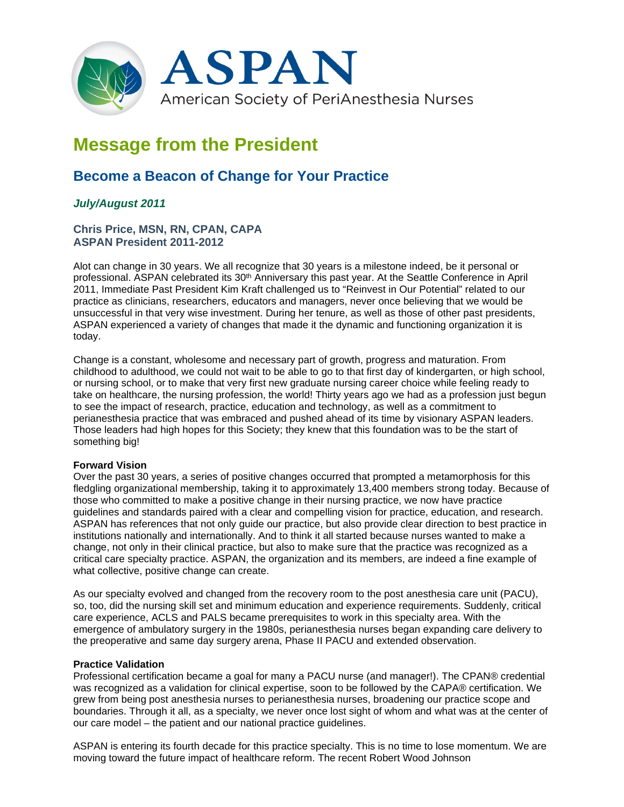

# **Message from the President**

## **Become a Beacon of Change for Your Practice**

### *July/August 2011*

#### **Chris Price, MSN, RN, CPAN, CAPA ASPAN President 2011-2012**

Alot can change in 30 years. We all recognize that 30 years is a milestone indeed, be it personal or professional. ASPAN celebrated its 30<sup>th</sup> Anniversary this past year. At the Seattle Conference in April 2011, Immediate Past President Kim Kraft challenged us to "Reinvest in Our Potential" related to our practice as clinicians, researchers, educators and managers, never once believing that we would be unsuccessful in that very wise investment. During her tenure, as well as those of other past presidents, ASPAN experienced a variety of changes that made it the dynamic and functioning organization it is today.

Change is a constant, wholesome and necessary part of growth, progress and maturation. From childhood to adulthood, we could not wait to be able to go to that first day of kindergarten, or high school, or nursing school, or to make that very first new graduate nursing career choice while feeling ready to take on healthcare, the nursing profession, the world! Thirty years ago we had as a profession just begun to see the impact of research, practice, education and technology, as well as a commitment to perianesthesia practice that was embraced and pushed ahead of its time by visionary ASPAN leaders. Those leaders had high hopes for this Society; they knew that this foundation was to be the start of something big!

#### **Forward Vision**

Over the past 30 years, a series of positive changes occurred that prompted a metamorphosis for this fledgling organizational membership, taking it to approximately 13,400 members strong today. Because of those who committed to make a positive change in their nursing practice, we now have practice guidelines and standards paired with a clear and compelling vision for practice, education, and research. ASPAN has references that not only guide our practice, but also provide clear direction to best practice in institutions nationally and internationally. And to think it all started because nurses wanted to make a change, not only in their clinical practice, but also to make sure that the practice was recognized as a critical care specialty practice. ASPAN, the organization and its members, are indeed a fine example of what collective, positive change can create.

As our specialty evolved and changed from the recovery room to the post anesthesia care unit (PACU), so, too, did the nursing skill set and minimum education and experience requirements. Suddenly, critical care experience, ACLS and PALS became prerequisites to work in this specialty area. With the emergence of ambulatory surgery in the 1980s, perianesthesia nurses began expanding care delivery to the preoperative and same day surgery arena, Phase II PACU and extended observation.

#### **Practice Validation**

Professional certification became a goal for many a PACU nurse (and manager!). The CPAN® credential was recognized as a validation for clinical expertise, soon to be followed by the CAPA® certification. We grew from being post anesthesia nurses to perianesthesia nurses, broadening our practice scope and boundaries. Through it all, as a specialty, we never once lost sight of whom and what was at the center of our care model – the patient and our national practice guidelines.

ASPAN is entering its fourth decade for this practice specialty. This is no time to lose momentum. We are moving toward the future impact of healthcare reform. The recent Robert Wood Johnson